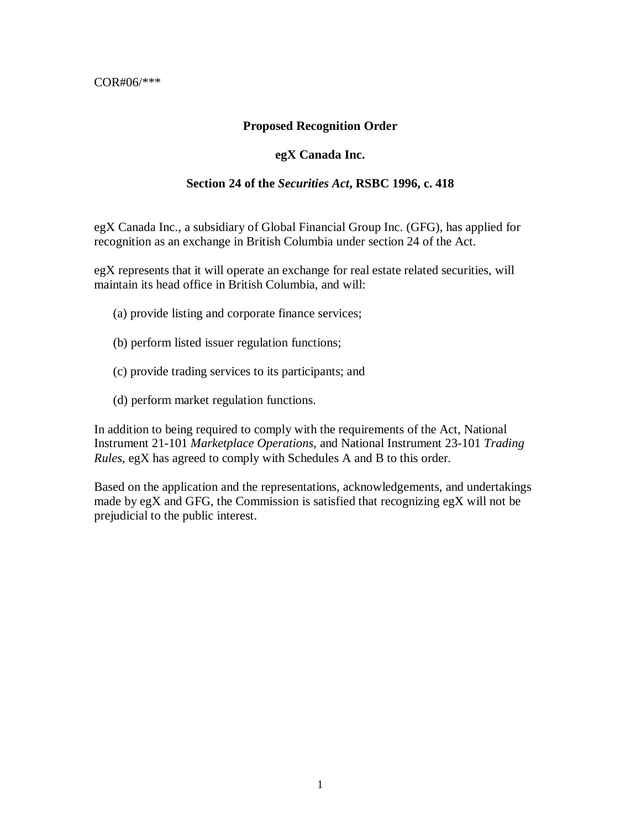### **Proposed Recognition Order**

#### **egX Canada Inc.**

#### **Section 24 of the** *Securities Act***, RSBC 1996, c. 418**

egX Canada Inc., a subsidiary of Global Financial Group Inc. (GFG), has applied for recognition as an exchange in British Columbia under section 24 of the Act.

egX represents that it will operate an exchange for real estate related securities, will maintain its head office in British Columbia, and will:

- (a) provide listing and corporate finance services;
- (b) perform listed issuer regulation functions;
- (c) provide trading services to its participants; and
- (d) perform market regulation functions.

In addition to being required to comply with the requirements of the Act, National Instrument 21-101 *Marketplace Operations*, and National Instrument 23-101 *Trading Rules*, egX has agreed to comply with Schedules A and B to this order.

Based on the application and the representations, acknowledgements, and undertakings made by egX and GFG, the Commission is satisfied that recognizing egX will not be prejudicial to the public interest.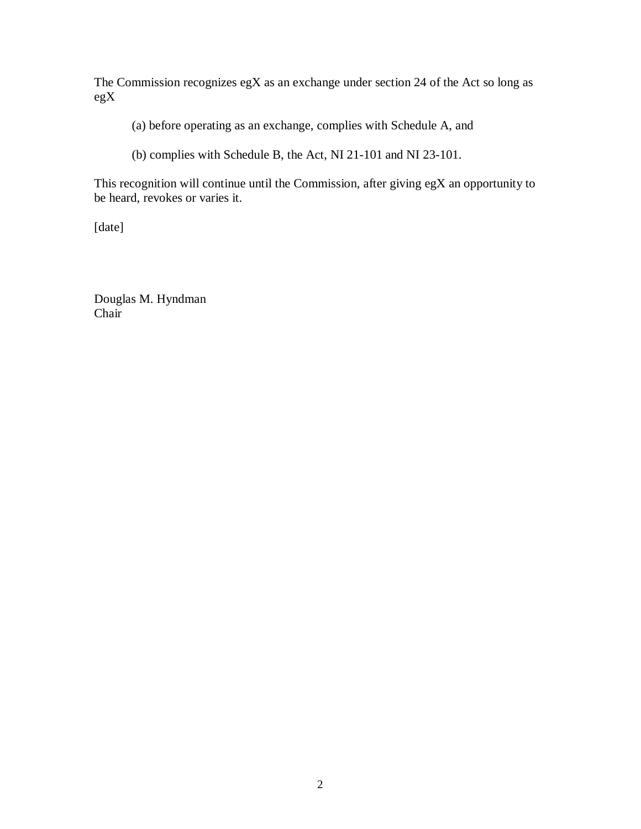The Commission recognizes egX as an exchange under section 24 of the Act so long as egX

- (a) before operating as an exchange, complies with Schedule A, and
- (b) complies with Schedule B, the Act, NI 21-101 and NI 23-101.

This recognition will continue until the Commission, after giving egX an opportunity to be heard, revokes or varies it.

[date]

Douglas M. Hyndman Chair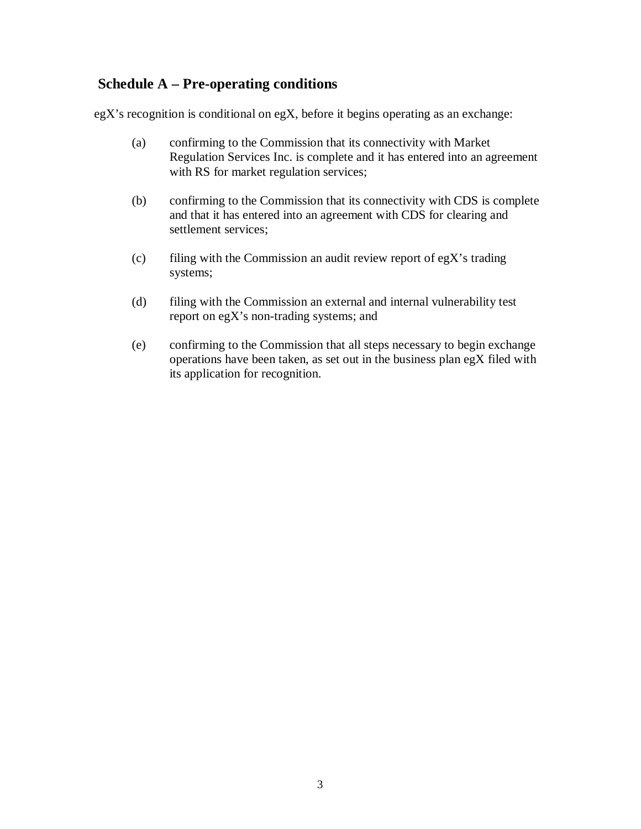# **Schedule A – Pre-operating conditions**

egX's recognition is conditional on egX, before it begins operating as an exchange:

- (a) confirming to the Commission that its connectivity with Market Regulation Services Inc. is complete and it has entered into an agreement with RS for market regulation services;
- (b) confirming to the Commission that its connectivity with CDS is complete and that it has entered into an agreement with CDS for clearing and settlement services;
- (c) filing with the Commission an audit review report of egX's trading systems;
- (d) filing with the Commission an external and internal vulnerability test report on egX's non-trading systems; and
- (e) confirming to the Commission that all steps necessary to begin exchange operations have been taken, as set out in the business plan egX filed with its application for recognition.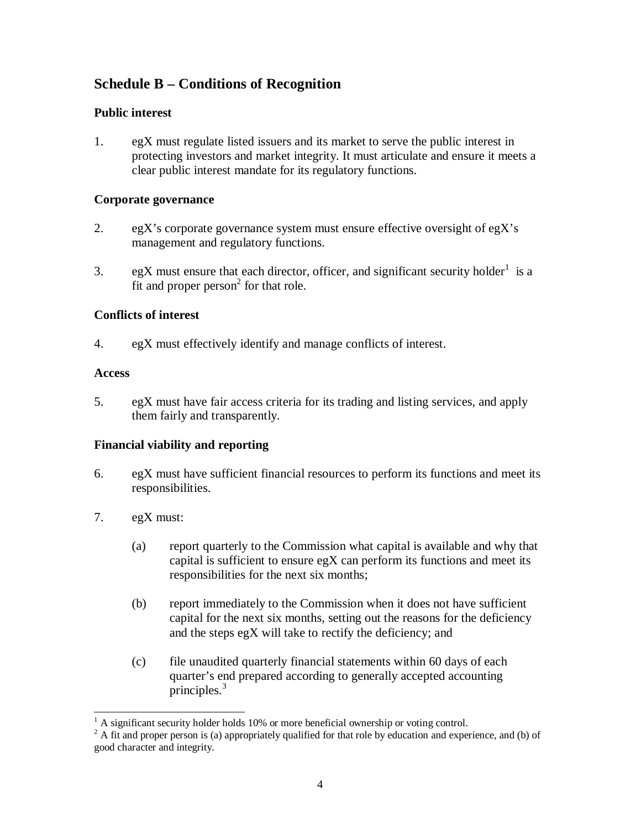# **Schedule B – Conditions of Recognition**

# **Public interest**

1. egX must regulate listed issuers and its market to serve the public interest in protecting investors and market integrity. It must articulate and ensure it meets a clear public interest mandate for its regulatory functions.

#### **Corporate governance**

- 2. egX's corporate governance system must ensure effective oversight of egX's management and regulatory functions.
- 3. egX must ensure that each director, officer, and significant security holder<sup>1</sup> is a fit and proper person $2$  for that role.

### **Conflicts of interest**

4. egX must effectively identify and manage conflicts of interest.

### **Access**

5. egX must have fair access criteria for its trading and listing services, and apply them fairly and transparently.

# **Financial viability and reporting**

- 6. egX must have sufficient financial resources to perform its functions and meet its responsibilities.
- 7. egX must:
	- (a) report quarterly to the Commission what capital is available and why that capital is sufficient to ensure  $egX$  can perform its functions and meet its responsibilities for the next six months;
	- (b) report immediately to the Commission when it does not have sufficient capital for the next six months, setting out the reasons for the deficiency and the steps egX will take to rectify the deficiency; and
	- (c) file unaudited quarterly financial statements within 60 days of each quarter's end prepared according to generally accepted accounting principles.<sup>3</sup>

<sup>&</sup>lt;sup>1</sup> A significant security holder holds 10% or more beneficial ownership or voting control.

 $2^2$  A fit and proper person is (a) appropriately qualified for that role by education and experience, and (b) of good character and integrity.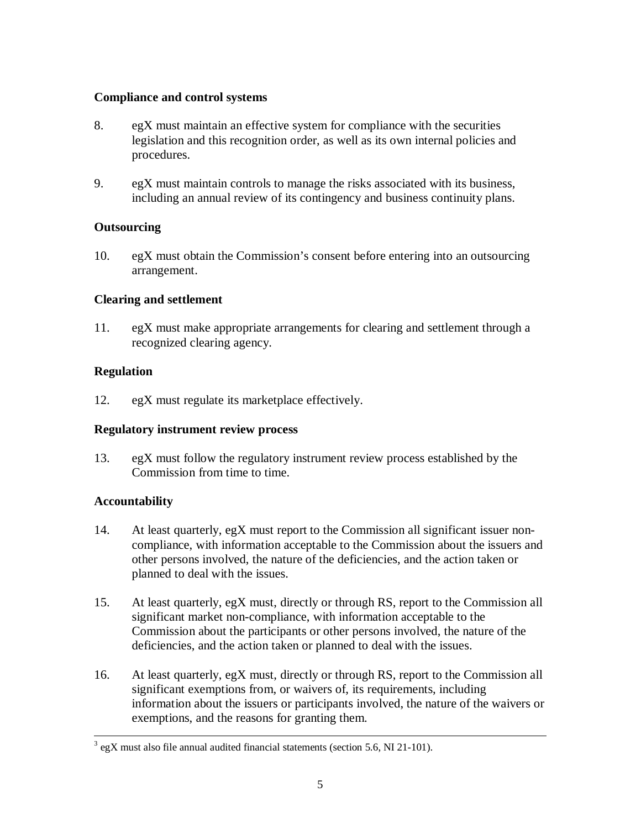### **Compliance and control systems**

- 8. egX must maintain an effective system for compliance with the securities legislation and this recognition order, as well as its own internal policies and procedures.
- 9. egX must maintain controls to manage the risks associated with its business, including an annual review of its contingency and business continuity plans.

# **Outsourcing**

10. egX must obtain the Commission's consent before entering into an outsourcing arrangement.

### **Clearing and settlement**

11. egX must make appropriate arrangements for clearing and settlement through a recognized clearing agency.

# **Regulation**

12. egX must regulate its marketplace effectively.

# **Regulatory instrument review process**

13. egX must follow the regulatory instrument review process established by the Commission from time to time.

# **Accountability**

- 14. At least quarterly, egX must report to the Commission all significant issuer noncompliance, with information acceptable to the Commission about the issuers and other persons involved, the nature of the deficiencies, and the action taken or planned to deal with the issues.
- 15. At least quarterly, egX must, directly or through RS, report to the Commission all significant market non-compliance, with information acceptable to the Commission about the participants or other persons involved, the nature of the deficiencies, and the action taken or planned to deal with the issues.
- 16. At least quarterly, egX must, directly or through RS, report to the Commission all significant exemptions from, or waivers of, its requirements, including information about the issuers or participants involved, the nature of the waivers or exemptions, and the reasons for granting them.

 $3$  egX must also file annual audited financial statements (section 5.6, NI 21-101).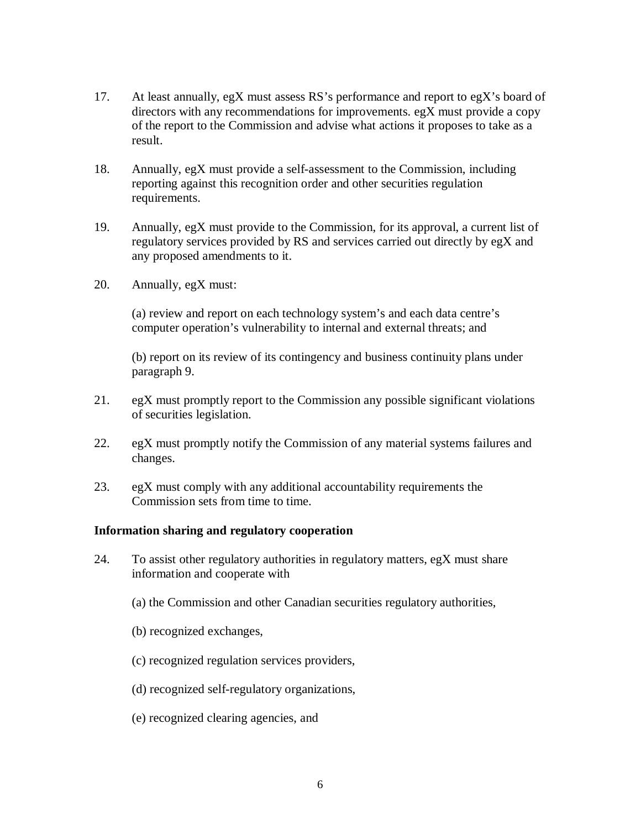- 17. At least annually, egX must assess RS's performance and report to egX's board of directors with any recommendations for improvements. egX must provide a copy of the report to the Commission and advise what actions it proposes to take as a result.
- 18. Annually, egX must provide a self-assessment to the Commission, including reporting against this recognition order and other securities regulation requirements.
- 19. Annually, egX must provide to the Commission, for its approval, a current list of regulatory services provided by RS and services carried out directly by egX and any proposed amendments to it.
- 20. Annually, egX must:

(a) review and report on each technology system's and each data centre's computer operation's vulnerability to internal and external threats; and

(b) report on its review of its contingency and business continuity plans under paragraph 9.

- 21. egX must promptly report to the Commission any possible significant violations of securities legislation.
- 22. egX must promptly notify the Commission of any material systems failures and changes.
- 23. egX must comply with any additional accountability requirements the Commission sets from time to time.

# **Information sharing and regulatory cooperation**

- 24. To assist other regulatory authorities in regulatory matters, egX must share information and cooperate with
	- (a) the Commission and other Canadian securities regulatory authorities,
	- (b) recognized exchanges,
	- (c) recognized regulation services providers,
	- (d) recognized self-regulatory organizations,
	- (e) recognized clearing agencies, and